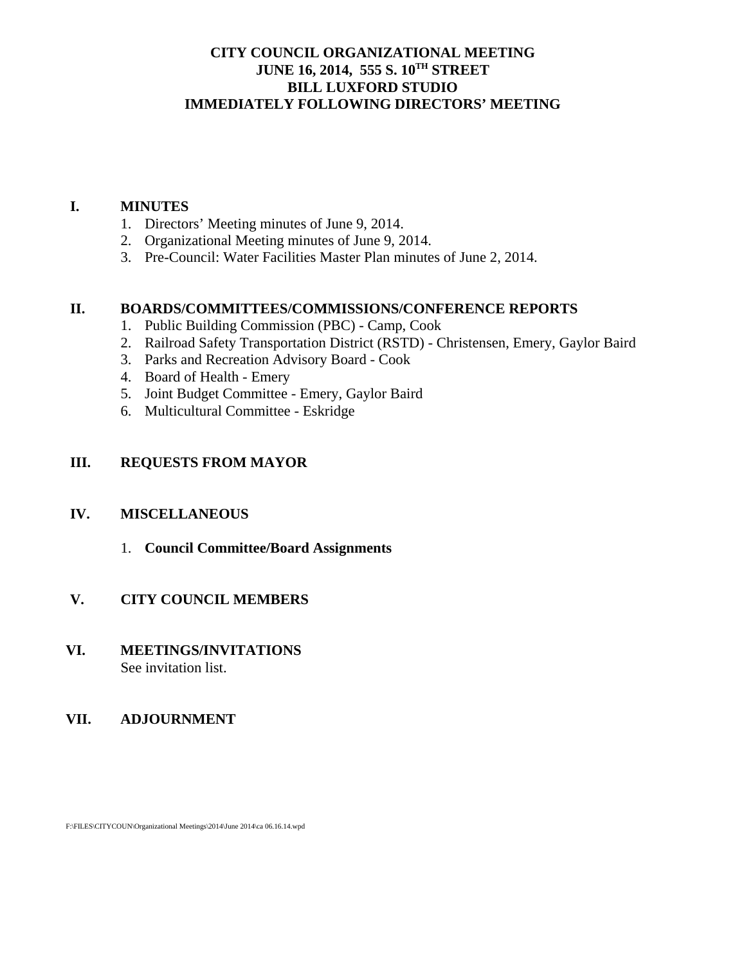# **CITY COUNCIL ORGANIZATIONAL MEETING JUNE 16, 2014, 555 S. 10TH STREET BILL LUXFORD STUDIO IMMEDIATELY FOLLOWING DIRECTORS' MEETING**

### **I. MINUTES**

- 1. Directors' Meeting minutes of June 9, 2014.
- 2. Organizational Meeting minutes of June 9, 2014.
- 3. Pre-Council: Water Facilities Master Plan minutes of June 2, 2014.

### **II. BOARDS/COMMITTEES/COMMISSIONS/CONFERENCE REPORTS**

- 1. Public Building Commission (PBC) Camp, Cook
- 2. Railroad Safety Transportation District (RSTD) Christensen, Emery, Gaylor Baird
- 3. Parks and Recreation Advisory Board Cook
- 4. Board of Health Emery
- 5. Joint Budget Committee Emery, Gaylor Baird
- 6. Multicultural Committee Eskridge

# **III. REQUESTS FROM MAYOR**

#### **IV. MISCELLANEOUS**

1. **Council Committee/Board Assignments** 

# **V. CITY COUNCIL MEMBERS**

**VI. MEETINGS/INVITATIONS** See invitation list.

# **VII. ADJOURNMENT**

F:\FILES\CITYCOUN\Organizational Meetings\2014\June 2014\ca 06.16.14.wpd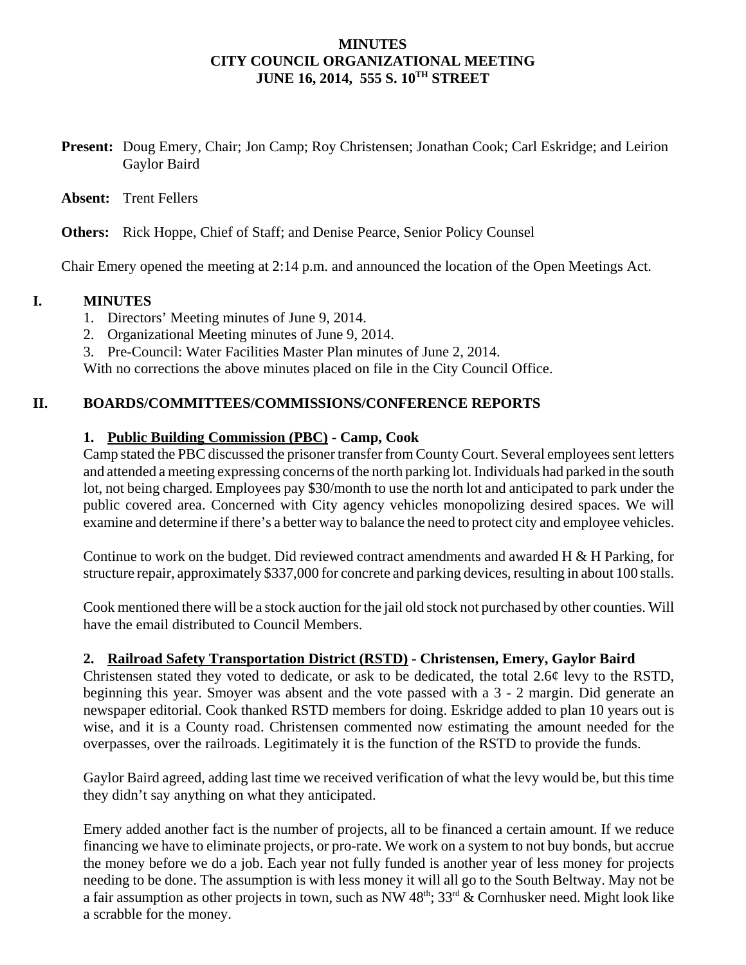### **MINUTES CITY COUNCIL ORGANIZATIONAL MEETING JUNE 16, 2014, 555 S. 10TH STREET**

**Present:** Doug Emery, Chair; Jon Camp; Roy Christensen; Jonathan Cook; Carl Eskridge; and Leirion Gaylor Baird

**Absent:** Trent Fellers

**Others:** Rick Hoppe, Chief of Staff; and Denise Pearce, Senior Policy Counsel

Chair Emery opened the meeting at 2:14 p.m. and announced the location of the Open Meetings Act.

### **I. MINUTES**

- 1. Directors' Meeting minutes of June 9, 2014.
- 2. Organizational Meeting minutes of June 9, 2014.
- 3. Pre-Council: Water Facilities Master Plan minutes of June 2, 2014.

With no corrections the above minutes placed on file in the City Council Office.

### **II. BOARDS/COMMITTEES/COMMISSIONS/CONFERENCE REPORTS**

#### **1. Public Building Commission (PBC) - Camp, Cook**

Camp stated the PBC discussed the prisoner transfer from County Court. Several employees sent letters and attended a meeting expressing concerns of the north parking lot. Individuals had parked in the south lot, not being charged. Employees pay \$30/month to use the north lot and anticipated to park under the public covered area. Concerned with City agency vehicles monopolizing desired spaces. We will examine and determine if there's a better way to balance the need to protect city and employee vehicles.

Continue to work on the budget. Did reviewed contract amendments and awarded H & H Parking, for structure repair, approximately \$337,000 for concrete and parking devices, resulting in about 100 stalls.

Cook mentioned there will be a stock auction for the jail old stock not purchased by other counties. Will have the email distributed to Council Members.

#### **2. Railroad Safety Transportation District (RSTD) - Christensen, Emery, Gaylor Baird**

Christensen stated they voted to dedicate, or ask to be dedicated, the total 2.6¢ levy to the RSTD, beginning this year. Smoyer was absent and the vote passed with a 3 - 2 margin. Did generate an newspaper editorial. Cook thanked RSTD members for doing. Eskridge added to plan 10 years out is wise, and it is a County road. Christensen commented now estimating the amount needed for the overpasses, over the railroads. Legitimately it is the function of the RSTD to provide the funds.

Gaylor Baird agreed, adding last time we received verification of what the levy would be, but this time they didn't say anything on what they anticipated.

Emery added another fact is the number of projects, all to be financed a certain amount. If we reduce financing we have to eliminate projects, or pro-rate. We work on a system to not buy bonds, but accrue the money before we do a job. Each year not fully funded is another year of less money for projects needing to be done. The assumption is with less money it will all go to the South Beltway. May not be a fair assumption as other projects in town, such as NW  $48^{\text{th}}$ ;  $33^{\text{rd}}$  & Cornhusker need. Might look like a scrabble for the money.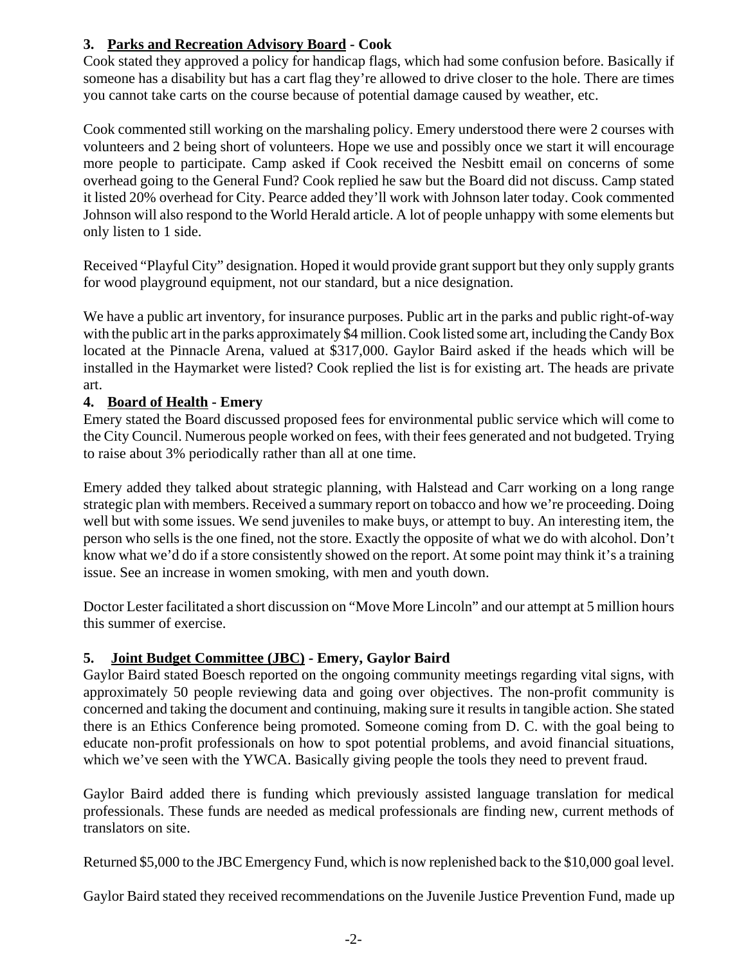# **3. Parks and Recreation Advisory Board - Cook**

Cook stated they approved a policy for handicap flags, which had some confusion before. Basically if someone has a disability but has a cart flag they're allowed to drive closer to the hole. There are times you cannot take carts on the course because of potential damage caused by weather, etc.

Cook commented still working on the marshaling policy. Emery understood there were 2 courses with volunteers and 2 being short of volunteers. Hope we use and possibly once we start it will encourage more people to participate. Camp asked if Cook received the Nesbitt email on concerns of some overhead going to the General Fund? Cook replied he saw but the Board did not discuss. Camp stated it listed 20% overhead for City. Pearce added they'll work with Johnson later today. Cook commented Johnson will also respond to the World Herald article. A lot of people unhappy with some elements but only listen to 1 side.

Received "Playful City" designation. Hoped it would provide grant support but they only supply grants for wood playground equipment, not our standard, but a nice designation.

We have a public art inventory, for insurance purposes. Public art in the parks and public right-of-way with the public art in the parks approximately \$4 million. Cook listed some art, including the Candy Box located at the Pinnacle Arena, valued at \$317,000. Gaylor Baird asked if the heads which will be installed in the Haymarket were listed? Cook replied the list is for existing art. The heads are private art.

# **4. Board of Health - Emery**

Emery stated the Board discussed proposed fees for environmental public service which will come to the City Council. Numerous people worked on fees, with their fees generated and not budgeted. Trying to raise about 3% periodically rather than all at one time.

Emery added they talked about strategic planning, with Halstead and Carr working on a long range strategic plan with members. Received a summary report on tobacco and how we're proceeding. Doing well but with some issues. We send juveniles to make buys, or attempt to buy. An interesting item, the person who sells is the one fined, not the store. Exactly the opposite of what we do with alcohol. Don't know what we'd do if a store consistently showed on the report. At some point may think it's a training issue. See an increase in women smoking, with men and youth down.

Doctor Lester facilitated a short discussion on "Move More Lincoln" and our attempt at 5 million hours this summer of exercise.

# **5. Joint Budget Committee (JBC) - Emery, Gaylor Baird**

Gaylor Baird stated Boesch reported on the ongoing community meetings regarding vital signs, with approximately 50 people reviewing data and going over objectives. The non-profit community is concerned and taking the document and continuing, making sure it results in tangible action. She stated there is an Ethics Conference being promoted. Someone coming from D. C. with the goal being to educate non-profit professionals on how to spot potential problems, and avoid financial situations, which we've seen with the YWCA. Basically giving people the tools they need to prevent fraud.

Gaylor Baird added there is funding which previously assisted language translation for medical professionals. These funds are needed as medical professionals are finding new, current methods of translators on site.

Returned \$5,000 to the JBC Emergency Fund, which is now replenished back to the \$10,000 goal level.

Gaylor Baird stated they received recommendations on the Juvenile Justice Prevention Fund, made up